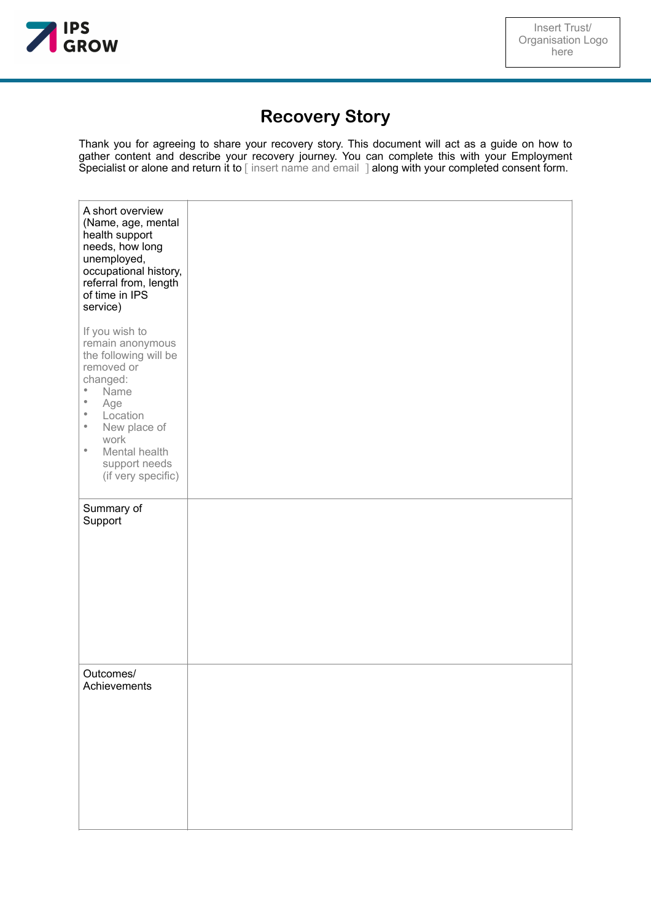

## **Recovery Story**

Thank you for agreeing to share your recovery story. This document will act as a guide on how to gather content and describe your recovery journey. You can complete this with your Employment Specialist or alone and return it to [insert name and email ] along with your completed consent form.

| A short overview<br>(Name, age, mental<br>health support<br>needs, how long<br>unemployed,<br>occupational history,<br>referral from, length<br>of time in IPS<br>service)                                                                                |  |
|-----------------------------------------------------------------------------------------------------------------------------------------------------------------------------------------------------------------------------------------------------------|--|
| If you wish to<br>remain anonymous<br>the following will be<br>removed or<br>changed:<br>۰<br>Name<br>$\bullet$<br>Age<br>$\bullet$<br>Location<br>$\bullet$<br>New place of<br>work<br>$\bullet$<br>Mental health<br>support needs<br>(if very specific) |  |
| Summary of<br>Support                                                                                                                                                                                                                                     |  |
| Outcomes/<br>Achievements                                                                                                                                                                                                                                 |  |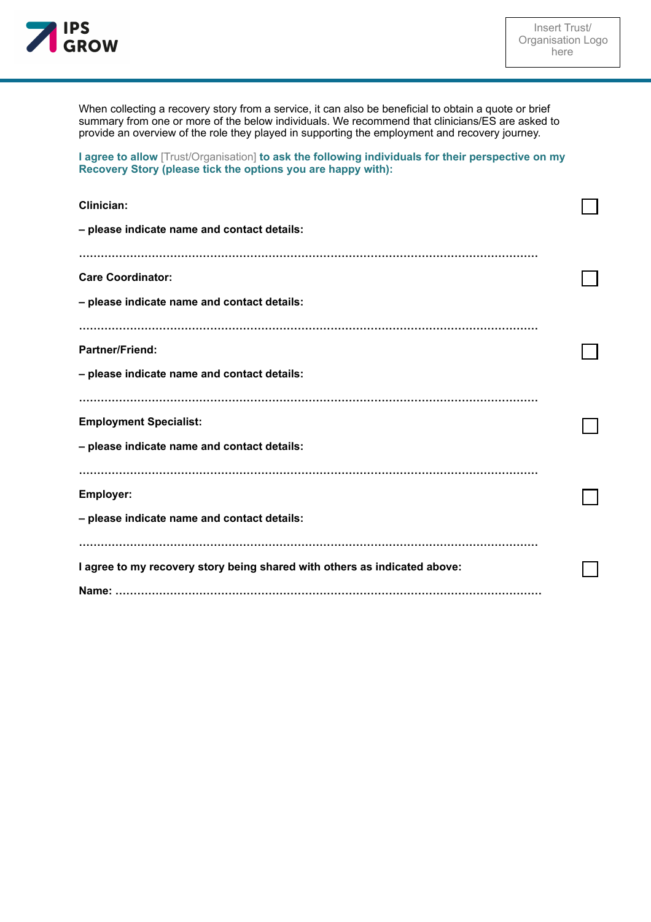

When collecting a recovery story from a service, it can also be beneficial to obtain a quote or brief summary from one or more of the below individuals. We recommend that clinicians/ES are asked to provide an overview of the role they played in supporting the employment and recovery journey.

**I agree to allow** [Trust/Organisation] **to ask the following individuals for their perspective on my Recovery Story (please tick the options you are happy with):** 

| Clinician:                                                                |  |  |
|---------------------------------------------------------------------------|--|--|
| - please indicate name and contact details:                               |  |  |
|                                                                           |  |  |
| <b>Care Coordinator:</b>                                                  |  |  |
| - please indicate name and contact details:                               |  |  |
|                                                                           |  |  |
| <b>Partner/Friend:</b>                                                    |  |  |
| - please indicate name and contact details:                               |  |  |
|                                                                           |  |  |
| <b>Employment Specialist:</b>                                             |  |  |
| - please indicate name and contact details:                               |  |  |
|                                                                           |  |  |
| <b>Employer:</b>                                                          |  |  |
| - please indicate name and contact details:                               |  |  |
|                                                                           |  |  |
| I agree to my recovery story being shared with others as indicated above: |  |  |
|                                                                           |  |  |